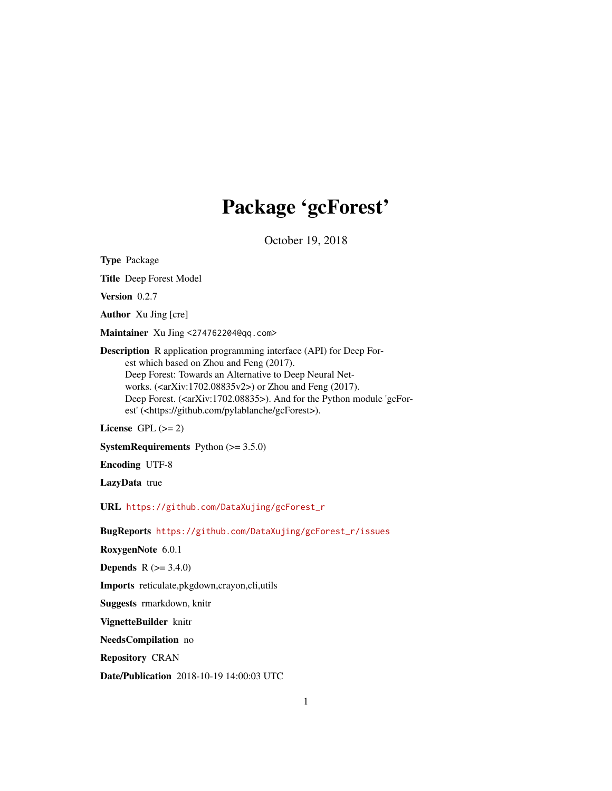## Package 'gcForest'

October 19, 2018

Type Package

Title Deep Forest Model

Version 0.2.7

Author Xu Jing [cre]

Maintainer Xu Jing <274762204@qq.com>

Description R application programming interface (API) for Deep Forest which based on Zhou and Feng (2017). Deep Forest: Towards an Alternative to Deep Neural Networks.  $(*arXiv*:1702.08835v2)$  or Zhou and Feng (2017). Deep Forest. (<arXiv:1702.08835>). And for the Python module 'gcForest' (<https://github.com/pylablanche/gcForest>).

License GPL  $(>= 2)$ 

**SystemRequirements** Python  $(>= 3.5.0)$ 

Encoding UTF-8

LazyData true

URL [https://github.com/DataXujing/gcForest\\_r](https://github.com/DataXujing/gcForest_r)

BugReports [https://github.com/DataXujing/gcForest\\_r/issues](https://github.com/DataXujing/gcForest_r/issues)

RoxygenNote 6.0.1

**Depends**  $R (= 3.4.0)$ 

Imports reticulate,pkgdown,crayon,cli,utils

Suggests rmarkdown, knitr

VignetteBuilder knitr

NeedsCompilation no

Repository CRAN

Date/Publication 2018-10-19 14:00:03 UTC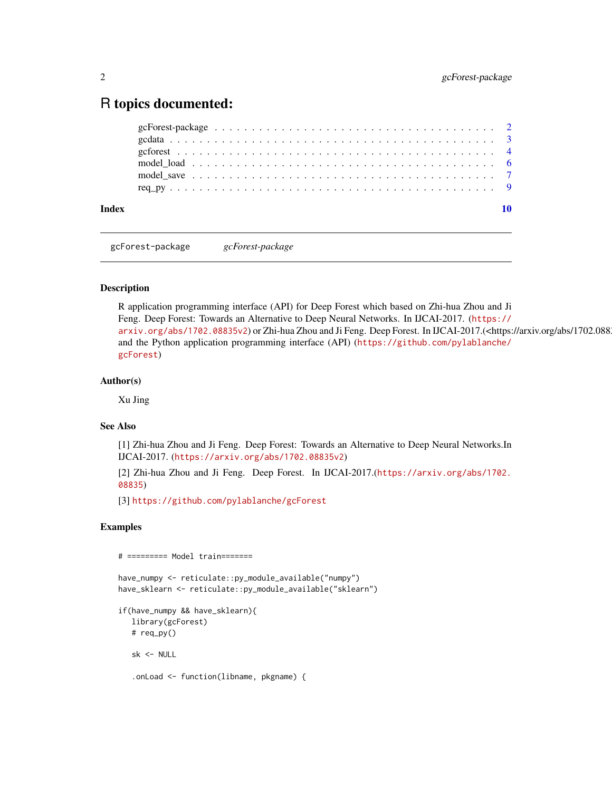### <span id="page-1-0"></span>R topics documented:

| Index |                                                                                                                    |  |
|-------|--------------------------------------------------------------------------------------------------------------------|--|
|       |                                                                                                                    |  |
|       | model save $\dots \dots \dots \dots \dots \dots \dots \dots \dots \dots \dots \dots \dots \dots \dots \dots \dots$ |  |
|       |                                                                                                                    |  |
|       |                                                                                                                    |  |
|       |                                                                                                                    |  |
|       |                                                                                                                    |  |

gcForest-package *gcForest-package*

#### Description

R application programming interface (API) for Deep Forest which based on Zhi-hua Zhou and Ji Feng. Deep Forest: Towards an Alternative to Deep Neural Networks. In IJCAI-2017. ([https://](https://arxiv.org/abs/1702.08835v2) [arxiv.org/abs/1702.08835v2](https://arxiv.org/abs/1702.08835v2)) or Zhi-hua Zhou and Ji Feng. Deep Forest. In IJCAI-2017.(<https://arxiv.org/abs/1702.088 and the Python application programming interface (API) ([https://github.com/pylablanche/](https://github.com/pylablanche/gcForest) [gcForest](https://github.com/pylablanche/gcForest))

#### Author(s)

Xu Jing

#### See Also

[1] Zhi-hua Zhou and Ji Feng. Deep Forest: Towards an Alternative to Deep Neural Networks.In IJCAI-2017. (<https://arxiv.org/abs/1702.08835v2>)

[2] Zhi-hua Zhou and Ji Feng. Deep Forest. In IJCAI-2017.([https://arxiv.org/abs/1702.](https://arxiv.org/abs/1702.08835) [08835](https://arxiv.org/abs/1702.08835))

[3] <https://github.com/pylablanche/gcForest>

#### Examples

# ========= Model train=======

```
have_numpy <- reticulate::py_module_available("numpy")
have_sklearn <- reticulate::py_module_available("sklearn")
```

```
if(have_numpy && have_sklearn){
  library(gcForest)
  # req_py()
```
sk <- NULL

```
.onLoad <- function(libname, pkgname) {
```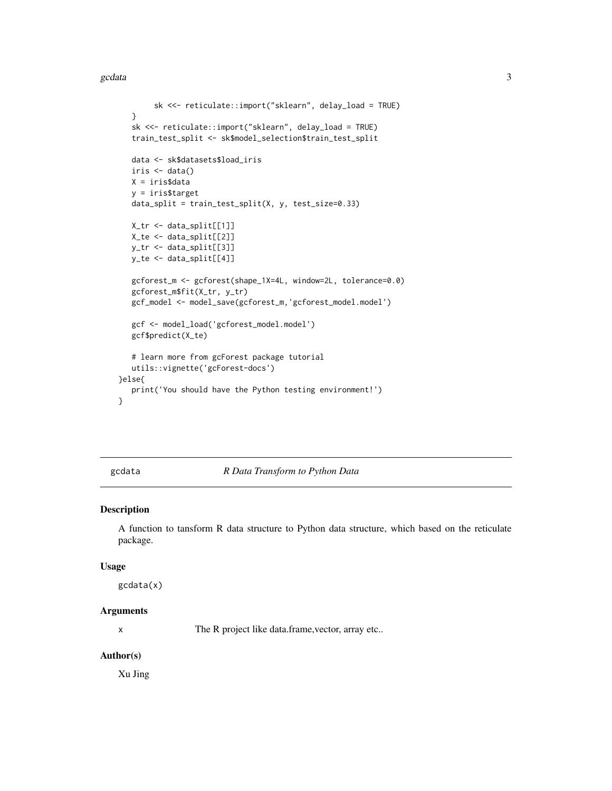```
sk <<- reticulate::import("sklearn", delay_load = TRUE)
  }
  sk <<- reticulate::import("sklearn", delay_load = TRUE)
  train_test_split <- sk$model_selection$train_test_split
  data <- sk$datasets$load_iris
  iris < - data()X = iris$data
  y = iris$target
  data_split = train_test_split(X, y, test_size=0.33)
  X_tr <- data_split[[1]]
  X_te <- data_split[[2]]
  y_tr <- data_split[[3]]
  y_te <- data_split[[4]]
  gcforest_m <- gcforest(shape_1X=4L, window=2L, tolerance=0.0)
  gcforest_m$fit(X_tr, y_tr)
  gcf_model <- model_save(gcforest_m,'gcforest_model.model')
  gcf <- model_load('gcforest_model.model')
  gcf$predict(X_te)
  # learn more from gcForest package tutorial
  utils::vignette('gcForest-docs')
}else{
  print('You should have the Python testing environment!')
```
}

#### gcdata *R Data Transform to Python Data*

#### Description

A function to tansform R data structure to Python data structure, which based on the reticulate package.

#### Usage

gcdata(x)

#### **Arguments**

x The R project like data.frame,vector, array etc..

#### Author(s)

Xu Jing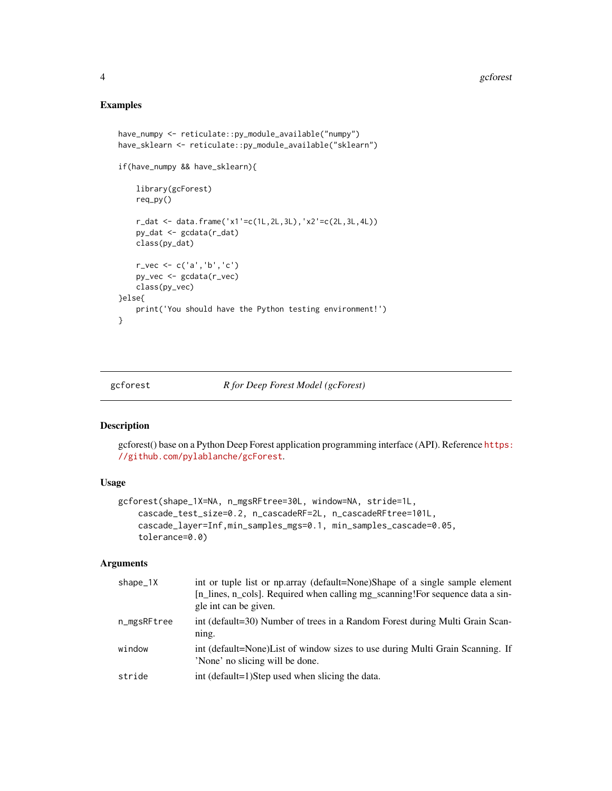#### Examples

```
have_numpy <- reticulate::py_module_available("numpy")
have_sklearn <- reticulate::py_module_available("sklearn")
if(have_numpy && have_sklearn){
   library(gcForest)
    req_py()
    r_dat <- data.frame('x1'=c(1L,2L,3L),'x2'=c(2L,3L,4L))
    py_dat <- gcdata(r_dat)
   class(py_dat)
   r_vec <- c('a','b','c')
   py_vec <- gcdata(r_vec)
    class(py_vec)
}else{
   print('You should have the Python testing environment!')
}
```
<span id="page-3-1"></span>

#### gcforest *R for Deep Forest Model (gcForest)*

#### Description

gcforest() base on a Python Deep Forest application programming interface (API). Reference [https:](https://github.com/pylablanche/gcForest) [//github.com/pylablanche/gcForest](https://github.com/pylablanche/gcForest).

#### Usage

```
gcforest(shape_1X=NA, n_mgsRFtree=30L, window=NA, stride=1L,
    cascade_test_size=0.2, n_cascadeRF=2L, n_cascadeRFtree=101L,
    cascade_layer=Inf,min_samples_mgs=0.1, min_samples_cascade=0.05,
    tolerance=0.0)
```
#### Arguments

| $shape_1X$  | int or tuple list or np.array (default=None)Shape of a single sample element<br>[n_lines, n_cols]. Required when calling mg_scanning! For sequence data a sin-<br>gle int can be given. |
|-------------|-----------------------------------------------------------------------------------------------------------------------------------------------------------------------------------------|
| n_mgsRFtree | int (default=30) Number of trees in a Random Forest during Multi Grain Scan-<br>ning.                                                                                                   |
| window      | int (default=None) List of window sizes to use during Multi Grain Scanning. If<br>'None' no slicing will be done.                                                                       |
| stride      | int (default=1)Step used when slicing the data.                                                                                                                                         |

<span id="page-3-0"></span>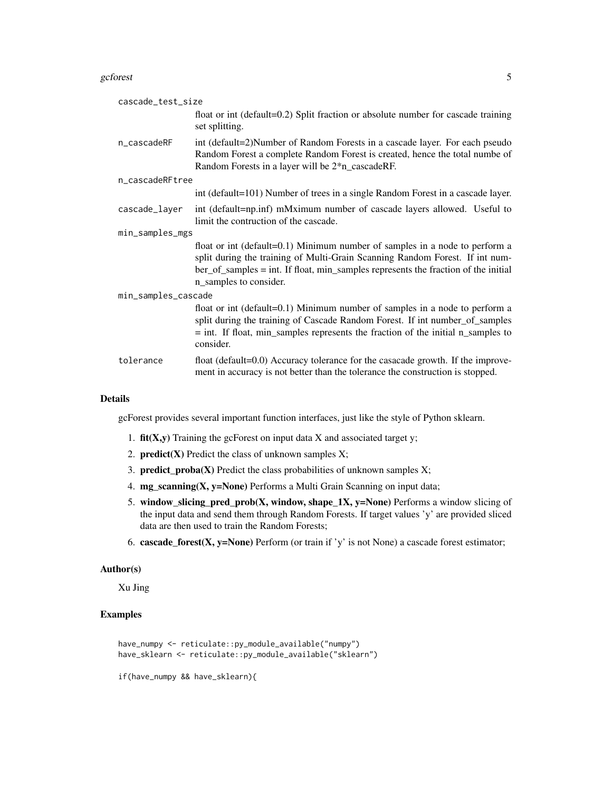#### gcforest 5

| cascade_test_size   |                                                                                                                                                                                                                                                                             |  |  |  |
|---------------------|-----------------------------------------------------------------------------------------------------------------------------------------------------------------------------------------------------------------------------------------------------------------------------|--|--|--|
|                     | float or int (default=0.2) Split fraction or absolute number for cascade training<br>set splitting.                                                                                                                                                                         |  |  |  |
| n_cascadeRF         | int (default=2)Number of Random Forests in a cascade layer. For each pseudo<br>Random Forest a complete Random Forest is created, hence the total numbe of<br>Random Forests in a layer will be 2 <sup>*</sup> n_cascadeRF.                                                 |  |  |  |
| n_cascadeRFtree     |                                                                                                                                                                                                                                                                             |  |  |  |
|                     | int (default=101) Number of trees in a single Random Forest in a cascade layer.                                                                                                                                                                                             |  |  |  |
| cascade_layer       | int (default=np.inf) mMximum number of cascade layers allowed. Useful to<br>limit the contruction of the cascade.                                                                                                                                                           |  |  |  |
| min_samples_mgs     |                                                                                                                                                                                                                                                                             |  |  |  |
|                     | float or int (default=0.1) Minimum number of samples in a node to perform a<br>split during the training of Multi-Grain Scanning Random Forest. If int num-<br>ber_of_samples = int. If float, min_samples represents the fraction of the initial<br>n_samples to consider. |  |  |  |
| min_samples_cascade |                                                                                                                                                                                                                                                                             |  |  |  |
|                     | float or int (default=0.1) Minimum number of samples in a node to perform a<br>split during the training of Cascade Random Forest. If int number_of_samples<br>$=$ int. If float, min_samples represents the fraction of the initial n_samples to<br>consider.              |  |  |  |
| tolerance           | float (default=0.0) Accuracy tolerance for the casacade growth. If the improve-<br>ment in accuracy is not better than the tolerance the construction is stopped.                                                                                                           |  |  |  |

#### Details

gcForest provides several important function interfaces, just like the style of Python sklearn.

- 1.  $fit(X, y)$  Training the gcForest on input data X and associated target y;
- 2. **predict(X)** Predict the class of unknown samples  $X$ ;
- 3. **predict\_proba(X)** Predict the class probabilities of unknown samples  $X$ ;
- 4. mg\_scanning(X, y=None) Performs a Multi Grain Scanning on input data;
- 5. window\_slicing\_pred\_prob(X, window, shape\_1X, y=None) Performs a window slicing of the input data and send them through Random Forests. If target values 'y' are provided sliced data are then used to train the Random Forests;
- 6. cascade\_forest(X, y=None) Perform (or train if 'y' is not None) a cascade forest estimator;

#### Author(s)

Xu Jing

#### Examples

```
have_numpy <- reticulate::py_module_available("numpy")
have_sklearn <- reticulate::py_module_available("sklearn")
```
if(have\_numpy && have\_sklearn){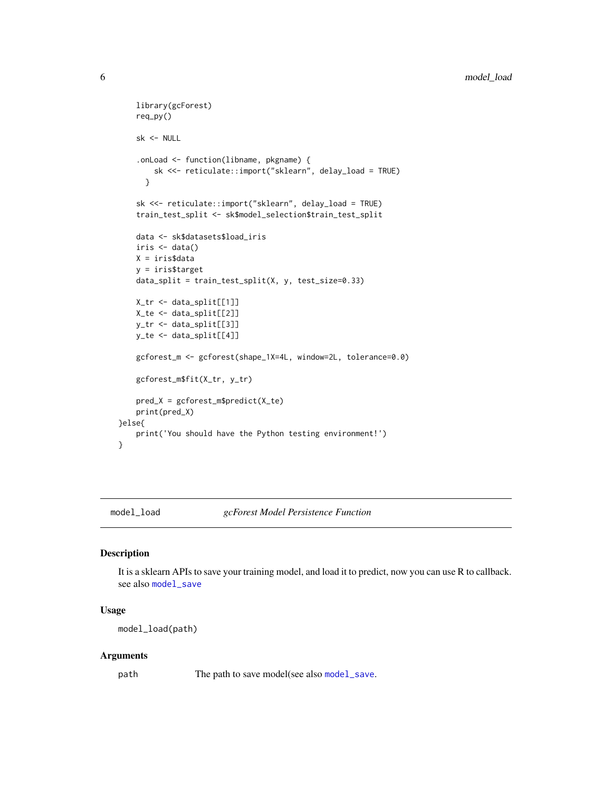```
library(gcForest)
    req_py()
    sk <- NULL
    .onLoad <- function(libname, pkgname) {
       sk <<- reticulate::import("sklearn", delay_load = TRUE)
     }
    sk <<- reticulate::import("sklearn", delay_load = TRUE)
    train_test_split <- sk$model_selection$train_test_split
    data <- sk$datasets$load_iris
    iris < - data()X = iris$data
   y = iris$target
   data_split = train_test_split(X, y, test_size=0.33)
   X_tr <- data_split[[1]]
   X_te <- data_split[[2]]
   y_tr <- data_split[[3]]
   y_te <- data_split[[4]]
   gcforest_m <- gcforest(shape_1X=4L, window=2L, tolerance=0.0)
   gcforest_m$fit(X_tr, y_tr)
   pred_X = gcforest_m$predict(X_te)
   print(pred_X)
}else{
   print('You should have the Python testing environment!')
```
<span id="page-5-1"></span>

}

model\_load *gcForest Model Persistence Function*

#### Description

It is a sklearn APIs to save your training model, and load it to predict, now you can use R to callback. see also [model\\_save](#page-6-1)

#### Usage

```
model_load(path)
```
#### Arguments

path The path to save model(see also [model\\_save](#page-6-1).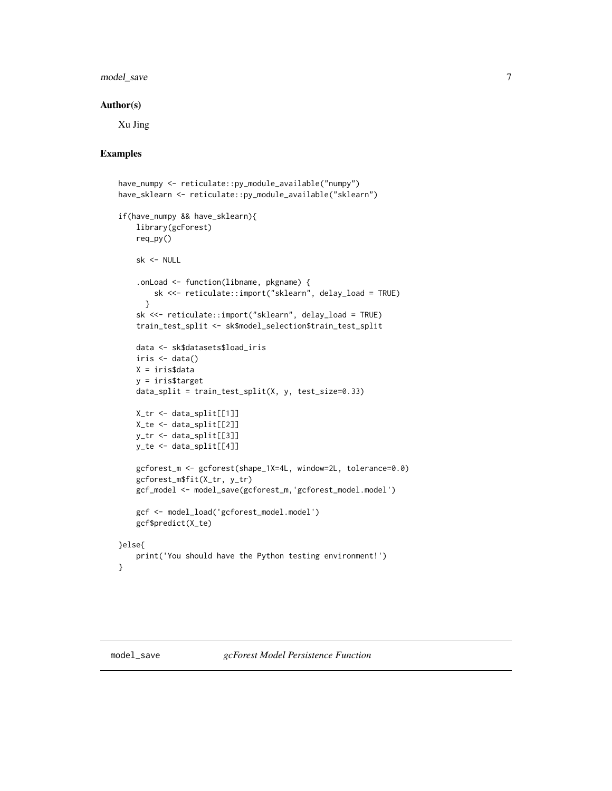#### <span id="page-6-0"></span>model\_save 7

#### Author(s)

Xu Jing

#### Examples

```
have_numpy <- reticulate::py_module_available("numpy")
have_sklearn <- reticulate::py_module_available("sklearn")
if(have_numpy && have_sklearn){
   library(gcForest)
   req_py()
   sk <- NULL
    .onLoad <- function(libname, pkgname) {
       sk <<- reticulate::import("sklearn", delay_load = TRUE)
     }
    sk <<- reticulate::import("sklearn", delay_load = TRUE)
    train_test_split <- sk$model_selection$train_test_split
   data <- sk$datasets$load_iris
   iris < - data()X = iris$data
   y = iris$target
   data_split = train_test_split(X, y, test_size=0.33)
   X_tr <- data_split[[1]]
   X_te <- data_split[[2]]
   y_tr <- data_split[[3]]
   y_te <- data_split[[4]]
   gcforest_m <- gcforest(shape_1X=4L, window=2L, tolerance=0.0)
   gcforest_m$fit(X_tr, y_tr)
   gcf_model <- model_save(gcforest_m,'gcforest_model.model')
   gcf <- model_load('gcforest_model.model')
   gcf$predict(X_te)
}else{
   print('You should have the Python testing environment!')
}
```
<span id="page-6-1"></span>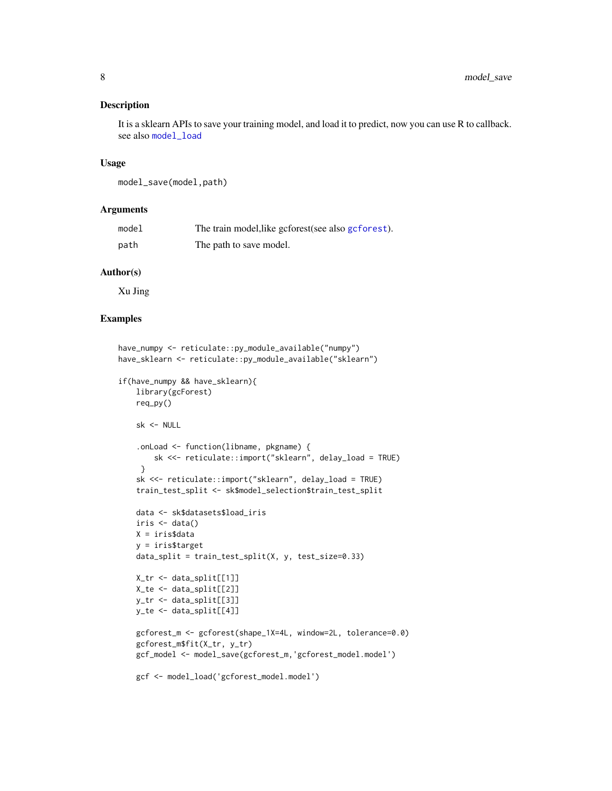#### <span id="page-7-0"></span>Description

It is a sklearn APIs to save your training model, and load it to predict, now you can use R to callback. see also [model\\_load](#page-5-1)

#### Usage

```
model_save(model,path)
```
#### **Arguments**

| model | The train model, like geforest (see also geforest). |
|-------|-----------------------------------------------------|
| path  | The path to save model.                             |

#### Author(s)

Xu Jing

#### Examples

```
have_numpy <- reticulate::py_module_available("numpy")
have_sklearn <- reticulate::py_module_available("sklearn")
if(have_numpy && have_sklearn){
   library(gcForest)
   req_py()
    sk <- NULL
    .onLoad <- function(libname, pkgname) {
        sk <<- reticulate::import("sklearn", delay_load = TRUE)
     }
    sk <<- reticulate::import("sklearn", delay_load = TRUE)
    train_test_split <- sk$model_selection$train_test_split
    data <- sk$datasets$load_iris
    iris <- data()
   X = iris$data
   y = iris$target
    data_split = train_test_split(X, y, test_size=0.33)X_tr <- data_split[[1]]
   X_te <- data_split[[2]]
   y_tr <- data_split[[3]]
   y_te <- data_split[[4]]
    gcforest_m <- gcforest(shape_1X=4L, window=2L, tolerance=0.0)
    gcforest_m$fit(X_tr, y_tr)
   gcf_model <- model_save(gcforest_m,'gcforest_model.model')
    gcf <- model_load('gcforest_model.model')
```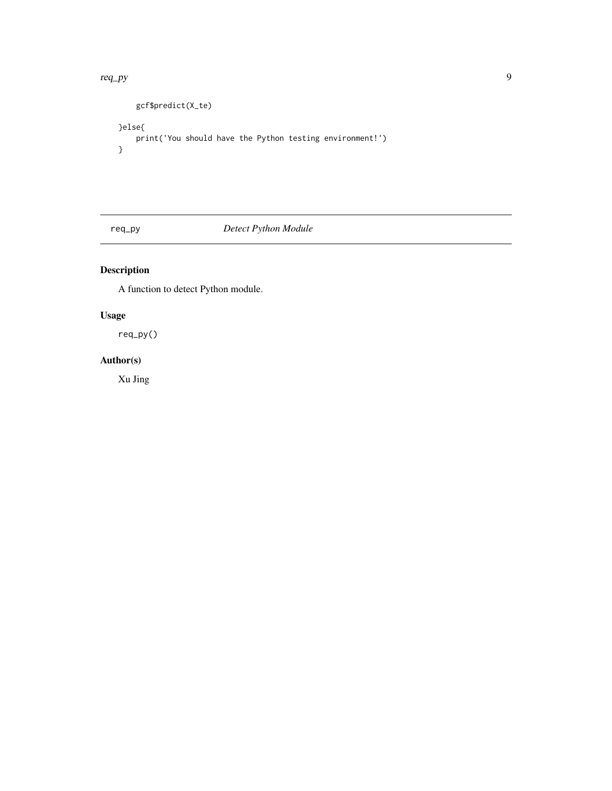#### <span id="page-8-0"></span>req\_py 9

```
gcf$predict(X_te)
}else{
   print('You should have the Python testing environment!')
}
```
req\_py *Detect Python Module*

#### Description

A function to detect Python module.

#### Usage

req\_py()

#### Author(s)

Xu Jing